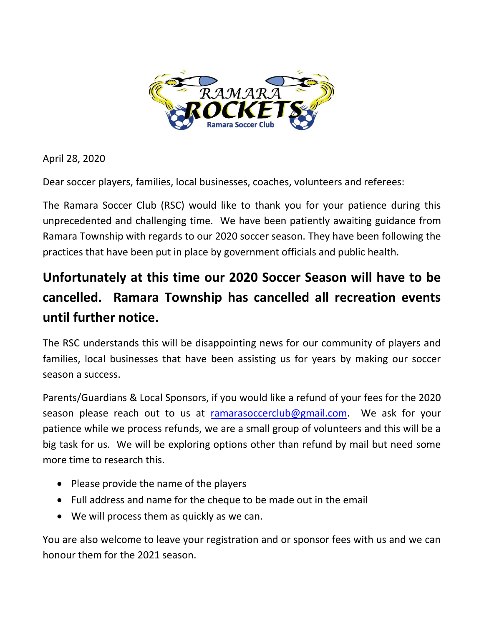

April 28, 2020

Dear soccer players, families, local businesses, coaches, volunteers and referees:

The Ramara Soccer Club (RSC) would like to thank you for your patience during this unprecedented and challenging time. We have been patiently awaiting guidance from Ramara Township with regards to our 2020 soccer season. They have been following the practices that have been put in place by government officials and public health.

## **Unfortunately at this time our 2020 Soccer Season will have to be cancelled. Ramara Township has cancelled all recreation events until further notice.**

The RSC understands this will be disappointing news for our community of players and families, local businesses that have been assisting us for years by making our soccer season a success.

Parents/Guardians & Local Sponsors, if you would like a refund of your fees for the 2020 season please reach out to us at [ramarasoccerclub@gmail.com.](mailto:ramarasoccerclub@gmail.com) We ask for your patience while we process refunds, we are a small group of volunteers and this will be a big task for us. We will be exploring options other than refund by mail but need some more time to research this.

- Please provide the name of the players
- Full address and name for the cheque to be made out in the email
- We will process them as quickly as we can.

You are also welcome to leave your registration and or sponsor fees with us and we can honour them for the 2021 season.